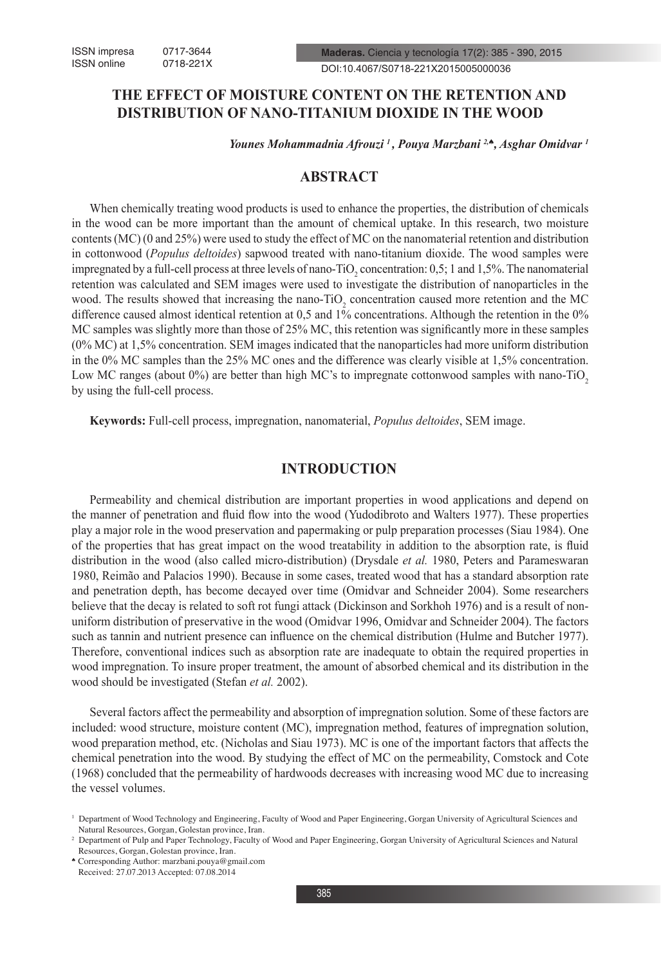# **THE EFFECT OF MOISTURE CONTENT ON THE RETENTION AND DISTRIBUTION OF NANO-TITANIUM DIOXIDE IN THE WOOD**

*Younes Mohammadnia Afrouzi 1 , Pouya Marzbani 2,*♠*, Asghar Omidvar 1*

## **ABSTRACT**

When chemically treating wood products is used to enhance the properties, the distribution of chemicals in the wood can be more important than the amount of chemical uptake. In this research, two moisture contents (MC) (0 and 25%) were used to study the effect of MC on the nanomaterial retention and distribution in cottonwood (*Populus deltoides*) sapwood treated with nano-titanium dioxide. The wood samples were impregnated by a full-cell process at three levels of nano-TiO<sub>2</sub> concentration: 0,5; 1 and 1,5%. The nanomaterial retention was calculated and SEM images were used to investigate the distribution of nanoparticles in the wood. The results showed that increasing the nano-TiO<sub>2</sub> concentration caused more retention and the MC difference caused almost identical retention at 0,5 and 1% concentrations. Although the retention in the 0% MC samples was slightly more than those of 25% MC, this retention was significantly more in these samples (0% MC) at 1,5% concentration. SEM images indicated that the nanoparticles had more uniform distribution in the 0% MC samples than the 25% MC ones and the difference was clearly visible at 1,5% concentration. Low MC ranges (about 0%) are better than high MC's to impregnate cottonwood samples with nano-TiO<sub>2</sub> by using the full-cell process.

**Keywords:** Full-cell process, impregnation, nanomaterial, *Populus deltoides*, SEM image.

### **INTRODUCTION**

Permeability and chemical distribution are important properties in wood applications and depend on the manner of penetration and fluid flow into the wood (Yudodibroto and Walters 1977). These properties play a major role in the wood preservation and papermaking or pulp preparation processes (Siau 1984). One of the properties that has great impact on the wood treatability in addition to the absorption rate, is fluid distribution in the wood (also called micro-distribution) (Drysdale *et al.* 1980, Peters and Parameswaran 1980, Reimão and Palacios 1990). Because in some cases, treated wood that has a standard absorption rate and penetration depth, has become decayed over time (Omidvar and Schneider 2004). Some researchers believe that the decay is related to soft rot fungi attack (Dickinson and Sorkhoh 1976) and is a result of nonuniform distribution of preservative in the wood (Omidvar 1996, Omidvar and Schneider 2004). The factors such as tannin and nutrient presence can influence on the chemical distribution (Hulme and Butcher 1977). Therefore, conventional indices such as absorption rate are inadequate to obtain the required properties in wood impregnation. To insure proper treatment, the amount of absorbed chemical and its distribution in the wood should be investigated (Stefan *et al.* 2002).

Several factors affect the permeability and absorption of impregnation solution. Some of these factors are included: wood structure, moisture content (MC), impregnation method, features of impregnation solution, wood preparation method, etc. (Nicholas and Siau 1973). MC is one of the important factors that affects the chemical penetration into the wood. By studying the effect of MC on the permeability, Comstock and Cote (1968) concluded that the permeability of hardwoods decreases with increasing wood MC due to increasing the vessel volumes.

<sup>&</sup>lt;sup>1</sup> Department of Wood Technology and Engineering, Faculty of Wood and Paper Engineering, Gorgan University of Agricultural Sciences and Natural Resources, Gorgan, Golestan province, Iran.

<sup>2</sup> Department of Pulp and Paper Technology, Faculty of Wood and Paper Engineering, Gorgan University of Agricultural Sciences and Natural Resources, Gorgan, Golestan province, Iran.

<sup>♠</sup> Corresponding Author: marzbani.pouya@gmail.com Received: 27.07.2013 Accepted: 07.08.2014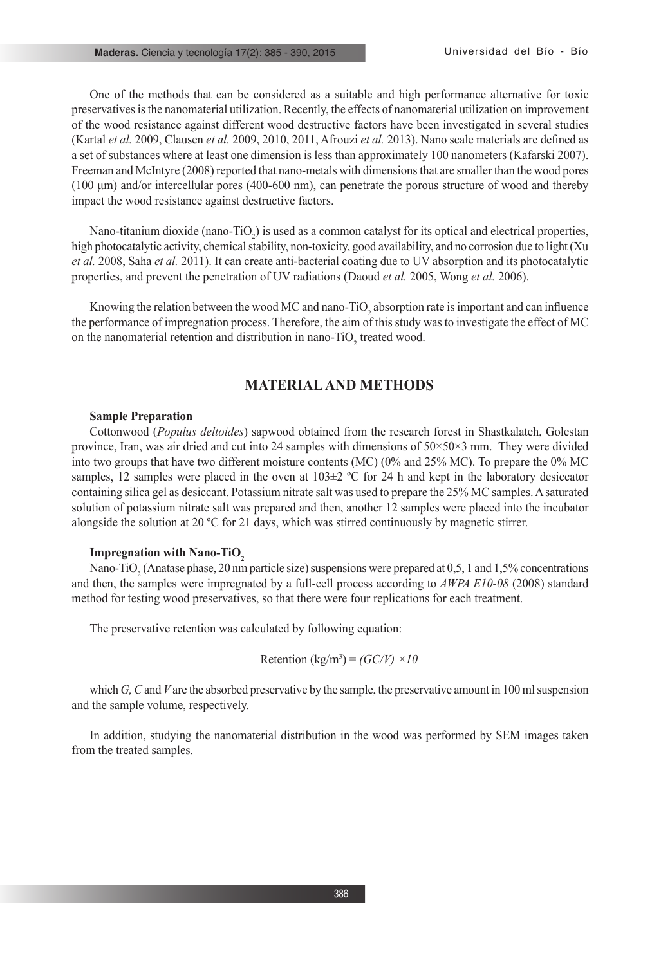One of the methods that can be considered as a suitable and high performance alternative for toxic preservatives is the nanomaterial utilization. Recently, the effects of nanomaterial utilization on improvement of the wood resistance against different wood destructive factors have been investigated in several studies (Kartal *et al.* 2009, Clausen *et al.* 2009, 2010, 2011, Afrouzi *et al.* 2013). Nano scale materials are defined as a set of substances where at least one dimension is less than approximately 100 nanometers (Kafarski 2007). Freeman and McIntyre (2008) reported that nano-metals with dimensions that are smaller than the wood pores (100 μm) and/or intercellular pores (400-600 nm), can penetrate the porous structure of wood and thereby impact the wood resistance against destructive factors.

Nano-titanium dioxide (nano-TiO<sub>2</sub>) is used as a common catalyst for its optical and electrical properties, high photocatalytic activity, chemical stability, non-toxicity, good availability, and no corrosion due to light (Xu *et al.* 2008, Saha *et al.* 2011). It can create anti-bacterial coating due to UV absorption and its photocatalytic properties, and prevent the penetration of UV radiations (Daoud *et al.* 2005, Wong *et al.* 2006).

Knowing the relation between the wood MC and nano-TiO<sub>2</sub> absorption rate is important and can influence the performance of impregnation process. Therefore, the aim of this study was to investigate the effect of MC on the nanomaterial retention and distribution in nano-TiO<sub>2</sub> treated wood.

### **MATERIAL AND METHODS**

#### **Sample Preparation**

Cottonwood (*Populus deltoides*) sapwood obtained from the research forest in Shastkalateh, Golestan province, Iran, was air dried and cut into 24 samples with dimensions of 50×50×3 mm. They were divided into two groups that have two different moisture contents (MC) (0% and 25% MC). To prepare the 0% MC samples, 12 samples were placed in the oven at  $103\pm2$  °C for 24 h and kept in the laboratory desiccator containing silica gel as desiccant. Potassium nitrate salt was used to prepare the 25% MC samples. A saturated solution of potassium nitrate salt was prepared and then, another 12 samples were placed into the incubator alongside the solution at 20 ºC for 21 days, which was stirred continuously by magnetic stirrer.

#### **Impregnation with Nano-TiO**<sub>2</sub>

Nano-TiO<sub>2</sub> (Anatase phase, 20 nm particle size) suspensions were prepared at 0,5, 1 and 1,5% concentrations and then, the samples were impregnated by a full-cell process according to *AWPA E10-08* (2008) standard method for testing wood preservatives, so that there were four replications for each treatment.

The preservative retention was calculated by following equation:

$$
Retention (kg/m3) = (GC/V) \times 10
$$

which *G*, *C* and *V* are the absorbed preservative by the sample, the preservative amount in 100 ml suspension and the sample volume, respectively.

In addition, studying the nanomaterial distribution in the wood was performed by SEM images taken from the treated samples.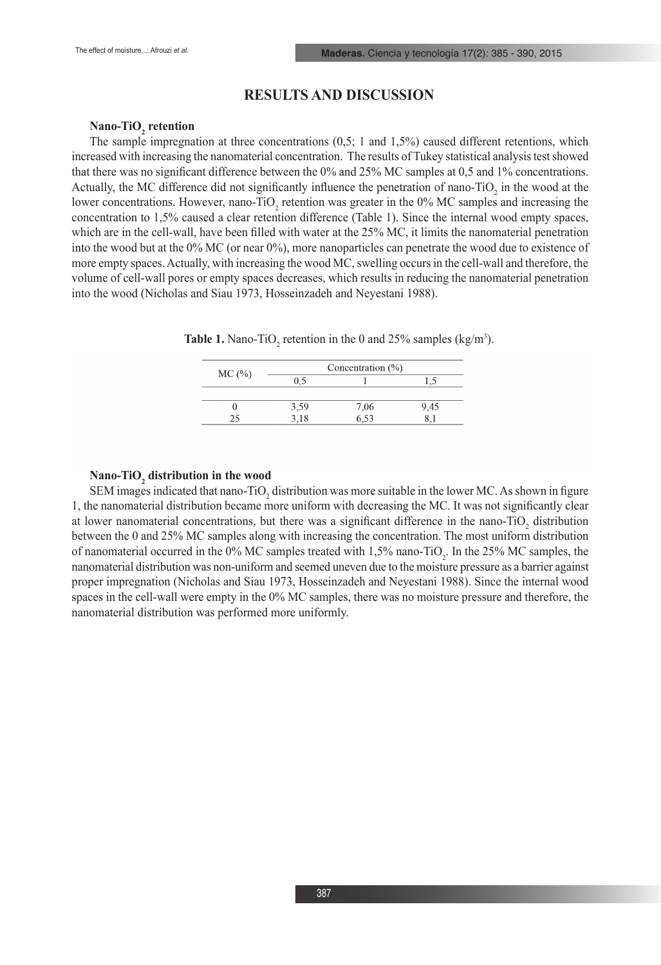### **RESULTS AND DISCUSSION**

# **Nano-TiO<sub>2</sub> retention**

The sample impregnation at three concentrations (0,5; 1 and 1,5%) caused different retentions, which increased with increasing the nanomaterial concentration. The results of Tukey statistical analysis test showed that there was no significant difference between the 0% and 25% MC samples at 0,5 and 1% concentrations. Actually, the MC difference did not significantly influence the penetration of nano-TiO<sub>2</sub> in the wood at the lower concentrations. However, nano-TiO<sub>2</sub> retention was greater in the 0% MC samples and increasing the concentration to 1,5% caused a clear retention difference (Table 1). Since the internal wood empty spaces, which are in the cell-wall, have been filled with water at the 25% MC, it limits the nanomaterial penetration into the wood but at the 0% MC (or near 0%), more nanoparticles can penetrate the wood due to existence of more empty spaces. Actually, with increasing the wood MC, swelling occurs in the cell-wall and therefore, the volume of cell-wall pores or empty spaces decreases, which results in reducing the nanomaterial penetration into the wood (Nicholas and Siau 1973, Hosseinzadeh and Neyestani 1988).

| MC(%) | Concentration $(\% )$ |                  |      |
|-------|-----------------------|------------------|------|
|       | 0.5                   |                  |      |
|       |                       |                  |      |
|       | 3,59                  |                  | 9,45 |
|       | 3.18                  | $7,06$<br>$6,53$ |      |
|       |                       |                  |      |

**Table 1.** Nano-TiO<sub>2</sub> retention in the 0 and 25% samples  $(kg/m<sup>3</sup>)$ .

# **Nano-TiO2 distribution in the wood**

SEM images indicated that nano-TiO<sub>2</sub> distribution was more suitable in the lower MC. As shown in figure 1, the nanomaterial distribution became more uniform with decreasing the MC. It was not significantly clear at lower nanomaterial concentrations, but there was a significant difference in the nano- $TiO<sub>2</sub>$  distribution between the 0 and 25% MC samples along with increasing the concentration. The most uniform distribution of nanomaterial occurred in the 0% MC samples treated with  $1,5\%$  nano-TiO<sub>2</sub>. In the 25% MC samples, the nanomaterial distribution was non-uniform and seemed uneven due to the moisture pressure as a barrier against proper impregnation (Nicholas and Siau 1973, Hosseinzadeh and Neyestani 1988). Since the internal wood spaces in the cell-wall were empty in the 0% MC samples, there was no moisture pressure and therefore, the nanomaterial distribution was performed more uniformly.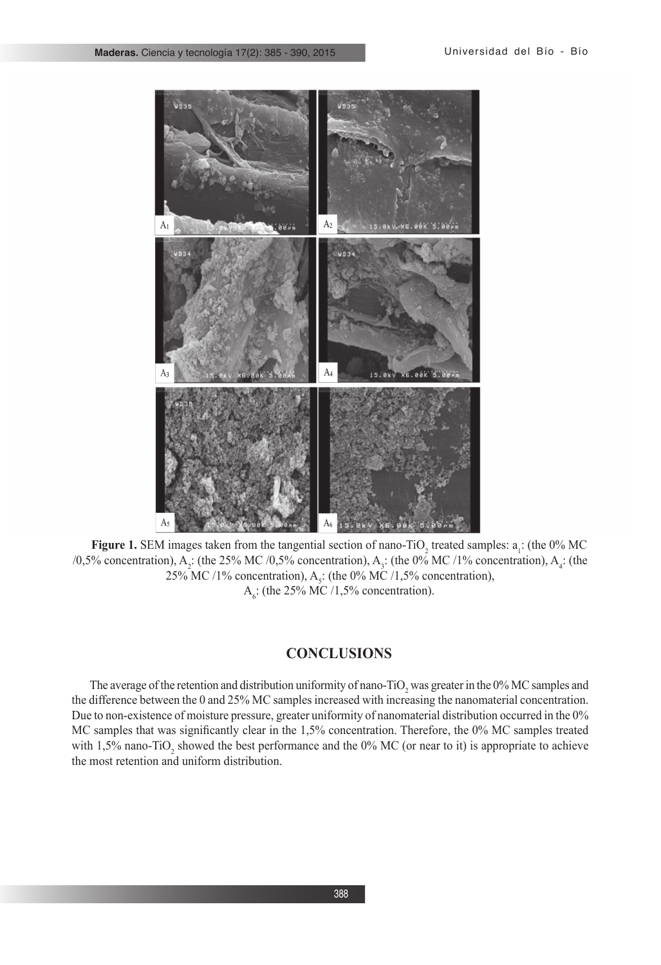

**Figure 1.** SEM images taken from the tangential section of nano-TiO<sub>2</sub> treated samples:  $a_1$ : (the 0% MC /0,5% concentration), A<sub>2</sub>: (the 25% MC /0,5% concentration), A<sub>3</sub>: (the 0% MC /1% concentration), A<sub>4</sub>: (the 25% MC /1% concentration),  $A_s$ : (the 0% MC /1,5% concentration),  $A<sub>6</sub>$ : (the 25% MC /1,5% concentration).

# **CONCLUSIONS**

The average of the retention and distribution uniformity of nano-TiO<sub>2</sub> was greater in the 0% MC samples and the difference between the 0 and 25% MC samples increased with increasing the nanomaterial concentration. Due to non-existence of moisture pressure, greater uniformity of nanomaterial distribution occurred in the 0% MC samples that was significantly clear in the 1,5% concentration. Therefore, the 0% MC samples treated with 1,5% nano-TiO<sub>2</sub> showed the best performance and the 0% MC (or near to it) is appropriate to achieve the most retention and uniform distribution.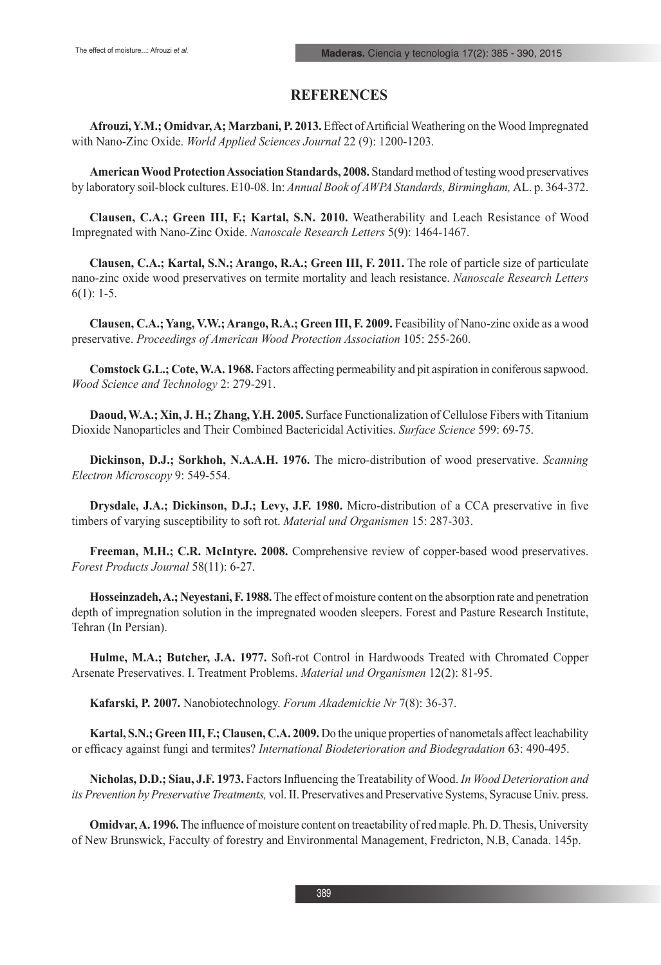# **REFERENCES**

**Afrouzi, Y.M.; Omidvar, A; Marzbani, P. 2013.** Effect of Artificial Weathering on the Wood Impregnated with Nano-Zinc Oxide. *World Applied Sciences Journal* 22 (9): 1200-1203.

**American Wood Protection Association Standards, 2008.** Standard method of testing wood preservatives by laboratory soil-block cultures. E10-08. In: *Annual Book of AWPA Standards, Birmingham,* AL. p. 364-372.

**Clausen, C.A.; Green III, F.; Kartal, S.N. 2010.** Weatherability and Leach Resistance of Wood Impregnated with Nano-Zinc Oxide. *Nanoscale Research Letters* 5(9): 1464-1467.

**Clausen, C.A.; Kartal, S.N.; Arango, R.A.; Green III, F. 2011.** The role of particle size of particulate nano-zinc oxide wood preservatives on termite mortality and leach resistance. *Nanoscale Research Letters* 6(1): 1-5.

**Clausen, C.A.; Yang, V.W.; Arango, R.A.; Green III, F. 2009.** Feasibility of Nano-zinc oxide as a wood preservative. *Proceedings of American Wood Protection Association* 105: 255-260.

**Comstock G.L.; Cote, W.A. 1968.** Factors affecting permeability and pit aspiration in coniferous sapwood. *Wood Science and Technology* 2: 279-291.

**Daoud, W.A.; Xin, J. H.; Zhang, Y.H. 2005.** Surface Functionalization of Cellulose Fibers with Titanium Dioxide Nanoparticles and Their Combined Bactericidal Activities. *Surface Science* 599: 69-75.

**Dickinson, D.J.; Sorkhoh, N.A.A.H. 1976.** The micro-distribution of wood preservative. *Scanning Electron Microscopy* 9: 549-554.

**Drysdale, J.A.; Dickinson, D.J.; Levy, J.F. 1980.** Micro-distribution of a CCA preservative in five timbers of varying susceptibility to soft rot. *Material und Organismen* 15: 287-303.

**Freeman, M.H.; C.R. McIntyre. 2008.** Comprehensive review of copper-based wood preservatives. *Forest Products Journal* 58(11): 6-27.

**Hosseinzadeh, A.; Neyestani, F. 1988.** The effect of moisture content on the absorption rate and penetration depth of impregnation solution in the impregnated wooden sleepers. Forest and Pasture Research Institute, Tehran (In Persian).

**Hulme, M.A.; Butcher, J.A. 1977.** Soft-rot Control in Hardwoods Treated with Chromated Copper Arsenate Preservatives. I. Treatment Problems. *Material und Organismen* 12(2): 81-95.

**Kafarski, P. 2007.** Nanobiotechnology. *Forum Akademickie Nr* 7(8): 36-37.

**Kartal, S.N.; Green III, F.; Clausen, C.A. 2009.** Do the unique properties of nanometals affect leachability or efficacy against fungi and termites? *International Biodeterioration and Biodegradation* 63: 490-495.

**Nicholas, D.D.; Siau, J.F. 1973.** Factors Influencing the Treatability of Wood. *In Wood Deterioration and its Prevention by Preservative Treatments,* vol. II. Preservatives and Preservative Systems, Syracuse Univ. press.

**Omidvar, A. 1996.** The influence of moisture content on treaetability of red maple. Ph. D. Thesis, University of New Brunswick, Facculty of forestry and Environmental Management, Fredricton, N.B, Canada. 145p.